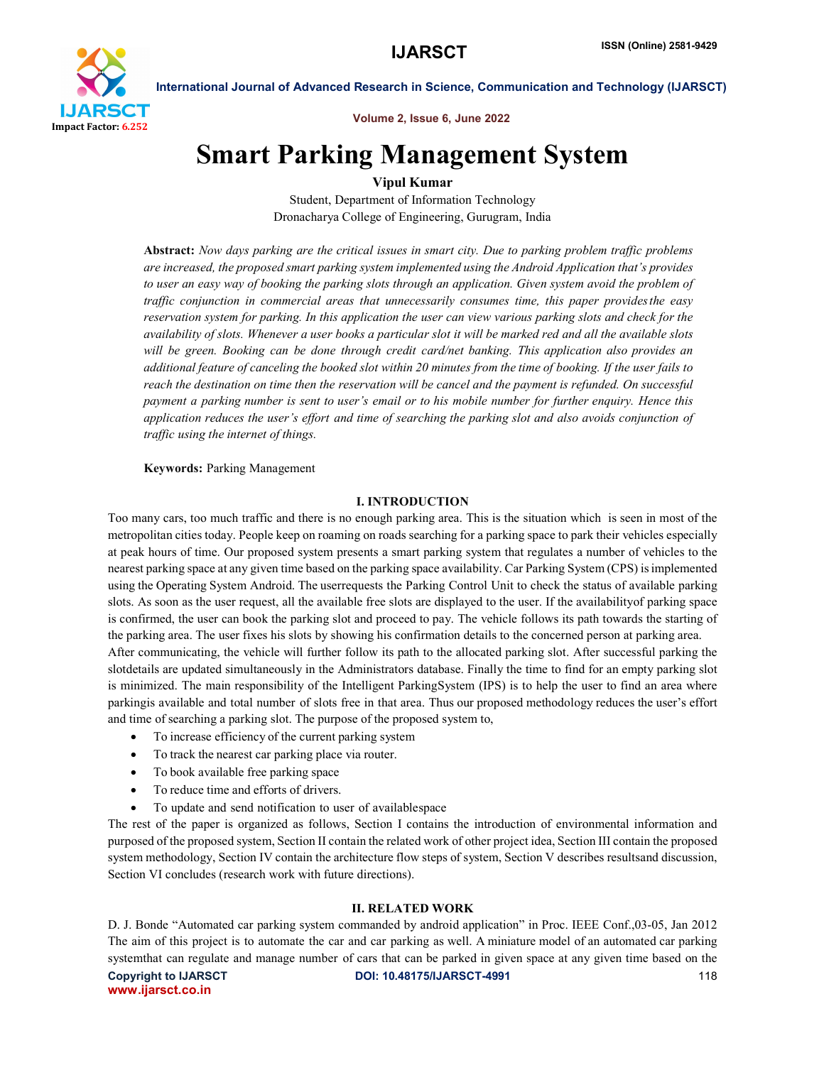

Volume 2, Issue 6, June 2022

## Smart Parking Management System

## Vipul Kumar

Student, Department of Information Technology Dronacharya College of Engineering, Gurugram, India

Abstract: *Now days parking are the critical issues in smart city. Due to parking problem traffic problems are increased, the proposed smart parking system implemented using the Android Application that's provides to user an easy way of booking the parking slots through an application. Given system avoid the problem of traffic conjunction in commercial areas that unnecessarily consumes time, this paper providesthe easy reservation system for parking. In this application the user can view various parking slots and check for the availability of slots. Whenever a user books a particular slot it will be marked red and all the available slots will be green. Booking can be done through credit card/net banking. This application also provides an additional feature of canceling the booked slot within 20 minutes from the time of booking. If the user fails to reach the destination on time then the reservation will be cancel and the payment is refunded. On successful payment a parking number is sent to user's email or to his mobile number for further enquiry. Hence this application reduces the user's effort and time of searching the parking slot and also avoids conjunction of traffic using the internet of things.*

#### Keywords: Parking Management

#### I. INTRODUCTION

Too many cars, too much traffic and there is no enough parking area. This is the situation which is seen in most of the metropolitan cities today. People keep on roaming on roads searching for a parking space to park their vehicles especially at peak hours of time. Our proposed system presents a smart parking system that regulates a number of vehicles to the nearest parking space at any given time based on the parking space availability. Car Parking System (CPS) isimplemented using the Operating System Android. The userrequests the Parking Control Unit to check the status of available parking slots. As soon as the user request, all the available free slots are displayed to the user. If the availabilityof parking space is confirmed, the user can book the parking slot and proceed to pay. The vehicle follows its path towards the starting of the parking area. The user fixes his slots by showing his confirmation details to the concerned person at parking area. After communicating, the vehicle will further follow its path to the allocated parking slot. After successful parking the slotdetails are updated simultaneously in the Administrators database. Finally the time to find for an empty parking slot is minimized. The main responsibility of the Intelligent ParkingSystem (IPS) is to help the user to find an area where parkingis available and total number of slots free in that area. Thus our proposed methodology reduces the user's effort and time of searching a parking slot. The purpose of the proposed system to,

- To increase efficiency of the current parking system
- To track the nearest car parking place via router.
- To book available free parking space
- To reduce time and efforts of drivers.
- To update and send notification to user of availablespace

The rest of the paper is organized as follows, Section I contains the introduction of environmental information and purposed of the proposed system, Section II contain the related work of other project idea, Section III contain the proposed system methodology, Section IV contain the architecture flow steps of system, Section V describes resultsand discussion, Section VI concludes (research work with future directions).

#### II. RELATED WORK

D. J. Bonde "Automated car parking system commanded by android application" in Proc. IEEE Conf.,03-05, Jan 2012 The aim of this project is to automate the car and car parking as well. A miniature model of an automated car parking systemthat can regulate and manage number of cars that can be parked in given space at any given time based on the

www.ijarsct.co.in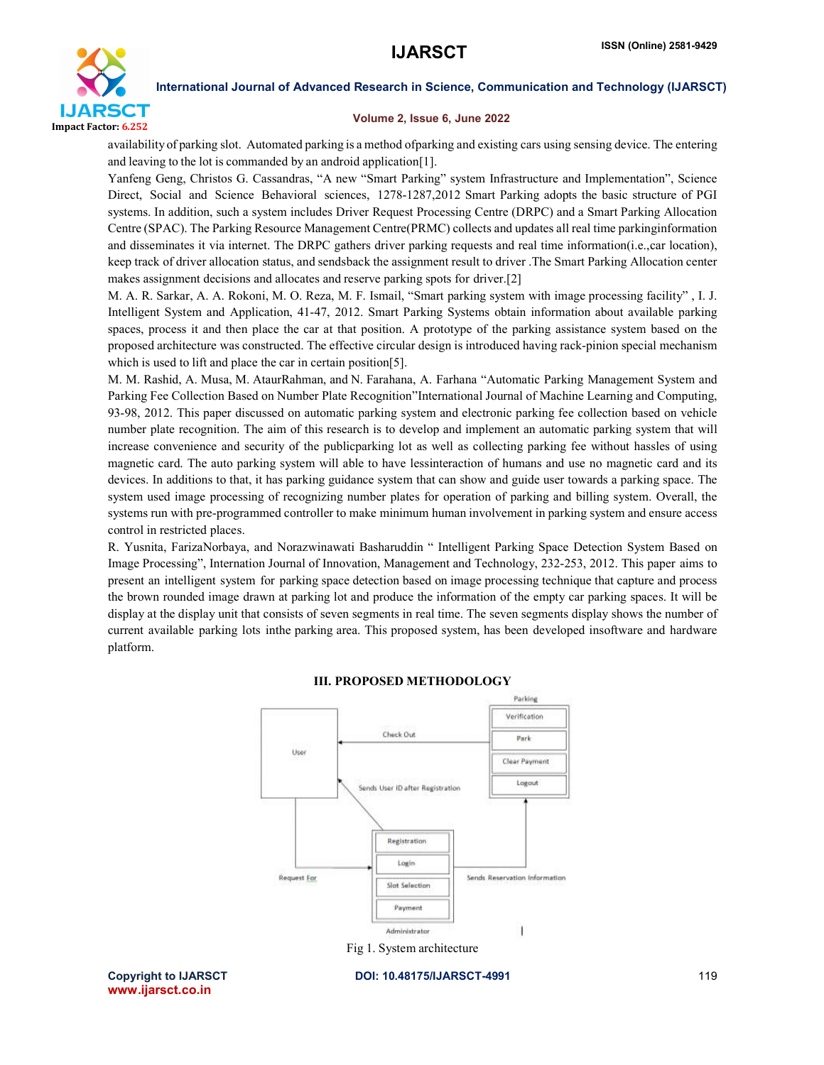

#### Volume 2, Issue 6, June 2022

availability of parking slot. Automated parking is a method ofparking and existing cars using sensing device. The entering and leaving to the lot is commanded by an android application[1].

Yanfeng Geng, Christos G. Cassandras, "A new "Smart Parking" system Infrastructure and Implementation", Science Direct, Social and Science Behavioral sciences, 1278-1287,2012 Smart Parking adopts the basic structure of PGI systems. In addition, such a system includes Driver Request Processing Centre (DRPC) and a Smart Parking Allocation Centre (SPAC). The Parking Resource Management Centre(PRMC) collects and updates all real time parkinginformation and disseminates it via internet. The DRPC gathers driver parking requests and real time information(i.e.,car location), keep track of driver allocation status, and sendsback the assignment result to driver .The Smart Parking Allocation center makes assignment decisions and allocates and reserve parking spots for driver.[2]

M. A. R. Sarkar, A. A. Rokoni, M. O. Reza, M. F. Ismail, "Smart parking system with image processing facility" , I. J. Intelligent System and Application, 41-47, 2012. Smart Parking Systems obtain information about available parking spaces, process it and then place the car at that position. A prototype of the parking assistance system based on the proposed architecture was constructed. The effective circular design is introduced having rack-pinion special mechanism which is used to lift and place the car in certain position[5].

M. M. Rashid, A. Musa, M. AtaurRahman, and N. Farahana, A. Farhana "Automatic Parking Management System and Parking Fee Collection Based on Number Plate Recognition"International Journal of Machine Learning and Computing, 93-98, 2012. This paper discussed on automatic parking system and electronic parking fee collection based on vehicle number plate recognition. The aim of this research is to develop and implement an automatic parking system that will increase convenience and security of the publicparking lot as well as collecting parking fee without hassles of using magnetic card. The auto parking system will able to have lessinteraction of humans and use no magnetic card and its devices. In additions to that, it has parking guidance system that can show and guide user towards a parking space. The system used image processing of recognizing number plates for operation of parking and billing system. Overall, the systems run with pre-programmed controller to make minimum human involvement in parking system and ensure access control in restricted places.

R. Yusnita, FarizaNorbaya, and Norazwinawati Basharuddin " Intelligent Parking Space Detection System Based on Image Processing", Internation Journal of Innovation, Management and Technology, 232-253, 2012. This paper aims to present an intelligent system for parking space detection based on image processing technique that capture and process the brown rounded image drawn at parking lot and produce the information of the empty car parking spaces. It will be display at the display unit that consists of seven segments in real time. The seven segments display shows the number of current available parking lots inthe parking area. This proposed system, has been developed insoftware and hardware platform.



#### III. PROPOSED METHODOLOGY

www.ijarsct.co.in

Copyright to IJARSCT **DOI: 10.48175/IJARSCT-4991** 119

Fig 1. System architecture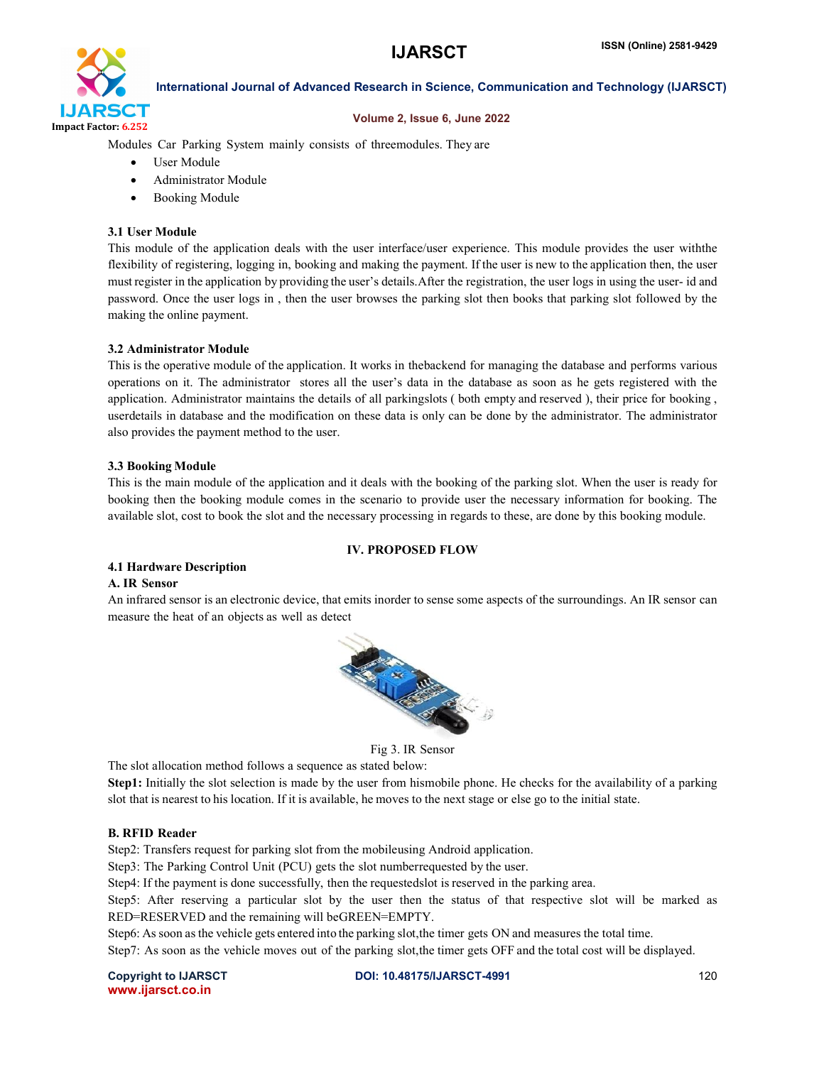

#### Volume 2, Issue 6, June 2022

Modules Car Parking System mainly consists of threemodules. They are

- User Module
- Administrator Module
- Booking Module

#### 3.1 User Module

This module of the application deals with the user interface/user experience. This module provides the user withthe flexibility of registering, logging in, booking and making the payment. If the user is new to the application then, the user must register in the application by providing the user's details.After the registration, the user logs in using the user- id and password. Once the user logs in , then the user browses the parking slot then books that parking slot followed by the making the online payment.

#### 3.2 Administrator Module

This is the operative module of the application. It works in thebackend for managing the database and performs various operations on it. The administrator stores all the user's data in the database as soon as he gets registered with the application. Administrator maintains the details of all parkingslots ( both empty and reserved ), their price for booking , userdetails in database and the modification on these data is only can be done by the administrator. The administrator also provides the payment method to the user.

#### 3.3 Booking Module

This is the main module of the application and it deals with the booking of the parking slot. When the user is ready for booking then the booking module comes in the scenario to provide user the necessary information for booking. The available slot, cost to book the slot and the necessary processing in regards to these, are done by this booking module.

#### IV. PROPOSED FLOW

#### 4.1 Hardware Description

#### A. IR Sensor

An infrared sensor is an electronic device, that emits inorder to sense some aspects of the surroundings. An IR sensor can measure the heat of an objects as well as detect



Fig 3. IR Sensor

The slot allocation method follows a sequence as stated below:

Step1: Initially the slot selection is made by the user from hismobile phone. He checks for the availability of a parking slot that is nearest to his location. If it is available, he moves to the next stage or else go to the initial state.

#### B. RFID Reader

Step2: Transfers request for parking slot from the mobileusing Android application.

Step3: The Parking Control Unit (PCU) gets the slot numberrequested by the user.

Step4: If the payment is done successfully, then the requestedslot is reserved in the parking area.

Step5: After reserving a particular slot by the user then the status of that respective slot will be marked as RED=RESERVED and the remaining will beGREEN=EMPTY.

Step6: As soon asthe vehicle gets entered into the parking slot,the timer gets ON and measures the total time.

Step7: As soon as the vehicle moves out of the parking slot,the timer gets OFF and the total cost will be displayed.

www.ijarsct.co.in

Copyright to IJARSCT **DOI: 10.48175/IJARSCT-4991** 120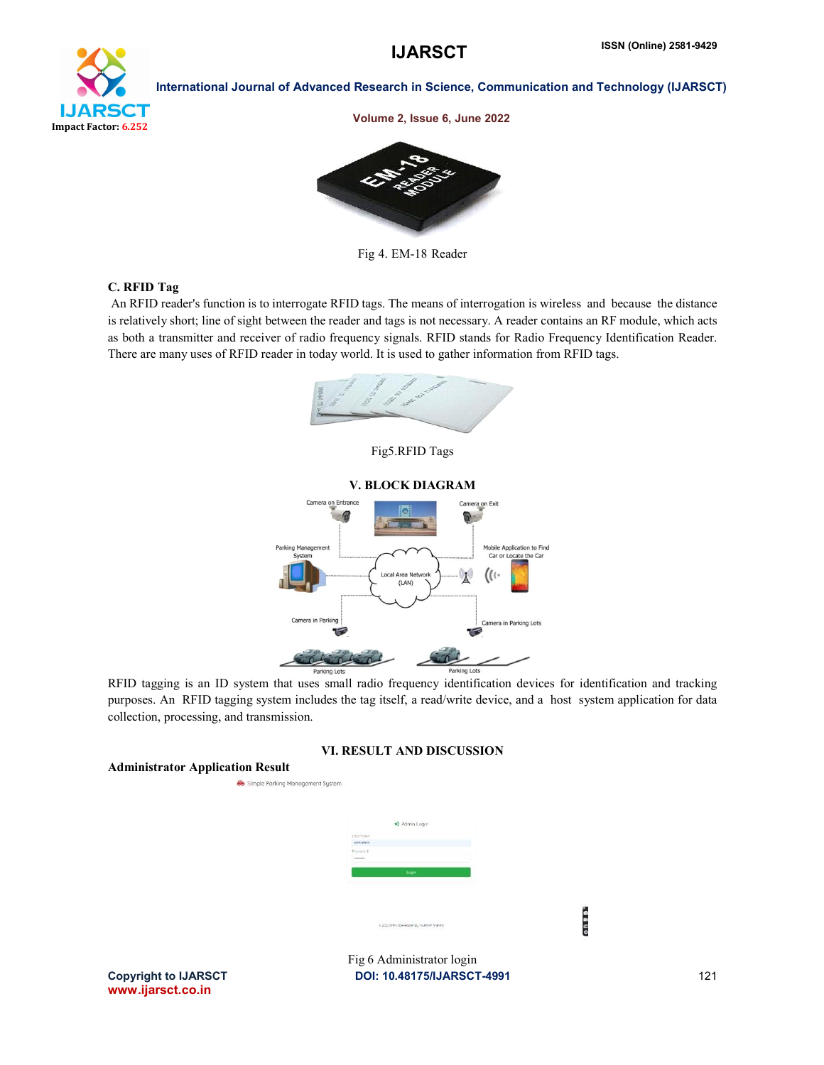

Volume 2, Issue 6, June 2022



Fig 4. EM-18 Reader

#### C. RFID Tag

An RFID reader's function is to interrogate RFID tags. The means of interrogation is wireless and because the distance is relatively short; line of sight between the reader and tags is not necessary. A reader contains an RF module, which acts as both a transmitter and receiver of radio frequency signals. RFID stands for Radio Frequency Identification Reader. There are many uses of RFID reader in today world. It is used to gather information from RFID tags.



Fig5.RFID Tags



RFID tagging is an ID system that uses small radio frequency identification devices for identification and tracking purposes. An RFID tagging system includes the tag itself, a read/write device, and a host system application for data collection, processing, and transmission.

#### VI. RESULT AND DISCUSSION



www.ijarsct.co.in